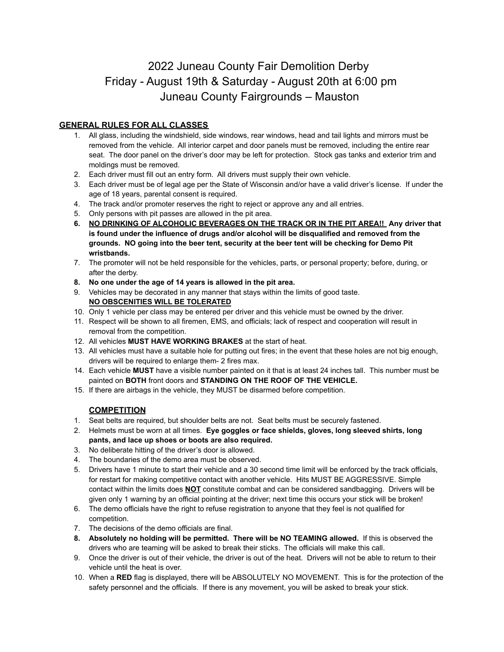# 2022 Juneau County Fair Demolition Derby Friday - August 19th & Saturday - August 20th at 6:00 pm Juneau County Fairgrounds – Mauston

### **GENERAL RULES FOR ALL CLASSES**

- 1. All glass, including the windshield, side windows, rear windows, head and tail lights and mirrors must be removed from the vehicle. All interior carpet and door panels must be removed, including the entire rear seat. The door panel on the driver's door may be left for protection. Stock gas tanks and exterior trim and moldings must be removed.
- 2. Each driver must fill out an entry form. All drivers must supply their own vehicle.
- 3. Each driver must be of legal age per the State of Wisconsin and/or have a valid driver's license. If under the age of 18 years, parental consent is required.
- 4. The track and/or promoter reserves the right to reject or approve any and all entries.
- 5. Only persons with pit passes are allowed in the pit area.
- **6. NO DRINKING OF ALCOHOLIC BEVERAGES ON THE TRACK OR IN THE PIT AREA!! Any driver that is found under the influence of drugs and/or alcohol will be disqualified and removed from the grounds. NO going into the beer tent, security at the beer tent will be checking for Demo Pit wristbands.**
- 7. The promoter will not be held responsible for the vehicles, parts, or personal property; before, during, or after the derby.
- **8. No one under the age of 14 years is allowed in the pit area.**
- 9. Vehicles may be decorated in any manner that stays within the limits of good taste. **NO OBSCENITIES WILL BE TOLERATED**
- 10. Only 1 vehicle per class may be entered per driver and this vehicle must be owned by the driver.
- 11. Respect will be shown to all firemen, EMS, and officials; lack of respect and cooperation will result in removal from the competition.
- 12. All vehicles **MUST HAVE WORKING BRAKES** at the start of heat.
- 13. All vehicles must have a suitable hole for putting out fires; in the event that these holes are not big enough, drivers will be required to enlarge them- 2 fires max.
- 14. Each vehicle **MUST** have a visible number painted on it that is at least 24 inches tall. This number must be painted on **BOTH** front doors and **STANDING ON THE ROOF OF THE VEHICLE.**
- 15. If there are airbags in the vehicle, they MUST be disarmed before competition.

### **COMPETITION**

- 1. Seat belts are required, but shoulder belts are not. Seat belts must be securely fastened.
- 2. Helmets must be worn at all times. **Eye goggles or face shields, gloves, long sleeved shirts, long pants, and lace up shoes or boots are also required.**
- 3. No deliberate hitting of the driver's door is allowed.
- 4. The boundaries of the demo area must be observed.
- 5. Drivers have 1 minute to start their vehicle and a 30 second time limit will be enforced by the track officials, for restart for making competitive contact with another vehicle. Hits MUST BE AGGRESSIVE. Simple contact within the limits does **NOT** constitute combat and can be considered sandbagging. Drivers will be given only 1 warning by an official pointing at the driver; next time this occurs your stick will be broken!
- 6. The demo officials have the right to refuse registration to anyone that they feel is not qualified for competition.
- 7. The decisions of the demo officials are final.
- **8. Absolutely no holding will be permitted. There will be NO TEAMING allowed.** If this is observed the drivers who are teaming will be asked to break their sticks. The officials will make this call.
- 9. Once the driver is out of their vehicle, the driver is out of the heat. Drivers will not be able to return to their vehicle until the heat is over.
- 10. When a **RED** flag is displayed, there will be ABSOLUTELY NO MOVEMENT. This is for the protection of the safety personnel and the officials. If there is any movement, you will be asked to break your stick.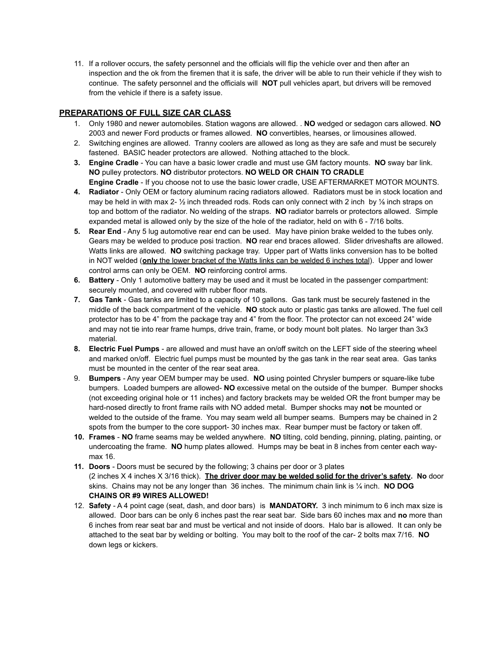11. If a rollover occurs, the safety personnel and the officials will flip the vehicle over and then after an inspection and the ok from the firemen that it is safe, the driver will be able to run their vehicle if they wish to continue. The safety personnel and the officials will **NOT** pull vehicles apart, but drivers will be removed from the vehicle if there is a safety issue.

### **PREPARATIONS OF FULL SIZE CAR CLASS**

- 1. Only 1980 and newer automobiles. Station wagons are allowed. . **NO** wedged or sedagon cars allowed. **NO** 2003 and newer Ford products or frames allowed. **NO** convertibles, hearses, or limousines allowed.
- 2. Switching engines are allowed. Tranny coolers are allowed as long as they are safe and must be securely fastened. BASIC header protectors are allowed. Nothing attached to the block.
- **3. Engine Cradle** You can have a basic lower cradle and must use GM factory mounts. **NO** sway bar link. **NO** pulley protectors. **NO** distributor protectors. **NO WELD OR CHAIN TO CRADLE Engine Cradle** - If you choose not to use the basic lower cradle, USE AFTERMARKET MOTOR MOUNTS.
- **4. Radiator** Only OEM or factory aluminum racing radiators allowed. Radiators must be in stock location and may be held in with max 2-  $\frac{1}{2}$  inch threaded rods. Rods can only connect with 2 inch by  $\frac{1}{6}$  inch straps on top and bottom of the radiator. No welding of the straps. **NO** radiator barrels or protectors allowed. Simple expanded metal is allowed only by the size of the hole of the radiator, held on with 6 - 7/16 bolts.
- **5. Rear End** Any 5 lug automotive rear end can be used. May have pinion brake welded to the tubes only. Gears may be welded to produce posi traction. **NO** rear end braces allowed. Slider driveshafts are allowed. Watts links are allowed. **NO** switching package tray. Upper part of Watts links conversion has to be bolted in NOT welded (**only** the lower bracket of the Watts links can be welded 6 inches total). Upper and lower control arms can only be OEM. **NO** reinforcing control arms.
- **6. Battery** Only 1 automotive battery may be used and it must be located in the passenger compartment: securely mounted, and covered with rubber floor mats.
- **7. Gas Tank** Gas tanks are limited to a capacity of 10 gallons. Gas tank must be securely fastened in the middle of the back compartment of the vehicle. **NO** stock auto or plastic gas tanks are allowed. The fuel cell protector has to be 4" from the package tray and 4" from the floor. The protector can not exceed 24" wide and may not tie into rear frame humps, drive train, frame, or body mount bolt plates. No larger than 3x3 material.
- **8. Electric Fuel Pumps** are allowed and must have an on/off switch on the LEFT side of the steering wheel and marked on/off. Electric fuel pumps must be mounted by the gas tank in the rear seat area. Gas tanks must be mounted in the center of the rear seat area.
- 9. **Bumpers** Any year OEM bumper may be used. **NO** using pointed Chrysler bumpers or square-like tube bumpers. Loaded bumpers are allowed- **NO** excessive metal on the outside of the bumper. Bumper shocks (not exceeding original hole or 11 inches) and factory brackets may be welded OR the front bumper may be hard-nosed directly to front frame rails with NO added metal. Bumper shocks may **not** be mounted or welded to the outside of the frame. You may seam weld all bumper seams. Bumpers may be chained in 2 spots from the bumper to the core support- 30 inches max. Rear bumper must be factory or taken off.
- **10. Frames NO** frame seams may be welded anywhere. **NO** tilting, cold bending, pinning, plating, painting, or undercoating the frame. **NO** hump plates allowed. Humps may be beat in 8 inches from center each waymax 16.
- **11. Doors** Doors must be secured by the following; 3 chains per door or 3 plates (2 inches X 4 inches X 3/16 thick). **The driver door may be welded solid for the driver's safety. No** door skins. Chains may not be any longer than 36 inches. The minimum chain link is ¼ inch. **NO DOG CHAINS OR #9 WIRES ALLOWED!**
- 12. **Safety** A 4 point cage (seat, dash, and door bars) is **MANDATORY.** 3 inch minimum to 6 inch max size is allowed. Door bars can be only 6 inches past the rear seat bar. Side bars 60 inches max and **no** more than 6 inches from rear seat bar and must be vertical and not inside of doors. Halo bar is allowed. It can only be attached to the seat bar by welding or bolting. You may bolt to the roof of the car- 2 bolts max 7/16. **NO** down legs or kickers.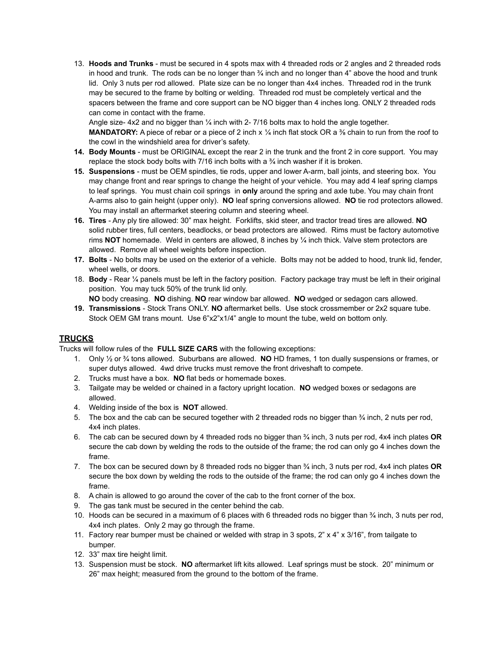13. **Hoods and Trunks** - must be secured in 4 spots max with 4 threaded rods or 2 angles and 2 threaded rods in hood and trunk. The rods can be no longer than  $\frac{3}{4}$  inch and no longer than  $4$ " above the hood and trunk lid. Only 3 nuts per rod allowed. Plate size can be no longer than 4x4 inches. Threaded rod in the trunk may be secured to the frame by bolting or welding. Threaded rod must be completely vertical and the spacers between the frame and core support can be NO bigger than 4 inches long. ONLY 2 threaded rods can come in contact with the frame.

Angle size-  $4x2$  and no bigger than  $\frac{1}{4}$  inch with 2-7/16 bolts max to hold the angle together. **MANDATORY:** A piece of rebar or a piece of 2 inch x 1/4 inch flat stock OR a <sup>3/</sup><sub>8</sub> chain to run from the roof to the cowl in the windshield area for driver's safety.

- **14. Body Mounts** must be ORIGINAL except the rear 2 in the trunk and the front 2 in core support. You may replace the stock body bolts with 7/16 inch bolts with a  $\frac{3}{4}$  inch washer if it is broken.
- **15. Suspensions** must be OEM spindles, tie rods, upper and lower A-arm, ball joints, and steering box. You may change front and rear springs to change the height of your vehicle. You may add 4 leaf spring clamps to leaf springs. You must chain coil springs in **only** around the spring and axle tube. You may chain front A-arms also to gain height (upper only). **NO** leaf spring conversions allowed. **NO** tie rod protectors allowed. You may install an aftermarket steering column and steering wheel.
- **16. Tires** Any ply tire allowed: 30" max height. Forklifts, skid steer, and tractor tread tires are allowed. **NO** solid rubber tires, full centers, beadlocks, or bead protectors are allowed. Rims must be factory automotive rims **NOT** homemade. Weld in centers are allowed, 8 inches by ¼ inch thick. Valve stem protectors are allowed. Remove all wheel weights before inspection.
- **17. Bolts** No bolts may be used on the exterior of a vehicle. Bolts may not be added to hood, trunk lid, fender, wheel wells, or doors.
- 18. **Body** Rear ¼ panels must be left in the factory position. Factory package tray must be left in their original position. You may tuck 50% of the trunk lid only.

**NO** body creasing. **NO** dishing. **NO** rear window bar allowed. **NO** wedged or sedagon cars allowed. **19. Transmissions** - Stock Trans ONLY. **NO** aftermarket bells. Use stock crossmember or 2x2 square tube.

Stock OEM GM trans mount. Use 6"x2"x1/4" angle to mount the tube, weld on bottom only.

#### **TRUCKS**

Trucks will follow rules of the **FULL SIZE CARS** with the following exceptions:

- 1. Only ½ or ¾ tons allowed. Suburbans are allowed. **NO** HD frames, 1 ton dually suspensions or frames, or super dutys allowed. 4wd drive trucks must remove the front driveshaft to compete.
- 2. Trucks must have a box. **NO** flat beds or homemade boxes.
- 3. Tailgate may be welded or chained in a factory upright location. **NO** wedged boxes or sedagons are allowed.
- 4. Welding inside of the box is **NOT** allowed.
- 5. The box and the cab can be secured together with 2 threaded rods no bigger than  $\frac{3}{4}$  inch, 2 nuts per rod, 4x4 inch plates.
- 6. The cab can be secured down by 4 threaded rods no bigger than ¾ inch, 3 nuts per rod, 4x4 inch plates **OR** secure the cab down by welding the rods to the outside of the frame; the rod can only go 4 inches down the frame.
- 7. The box can be secured down by 8 threaded rods no bigger than ¾ inch, 3 nuts per rod, 4x4 inch plates **OR** secure the box down by welding the rods to the outside of the frame; the rod can only go 4 inches down the frame.
- 8. A chain is allowed to go around the cover of the cab to the front corner of the box.
- 9. The gas tank must be secured in the center behind the cab.
- 10. Hoods can be secured in a maximum of 6 places with 6 threaded rods no bigger than ¾ inch, 3 nuts per rod, 4x4 inch plates. Only 2 may go through the frame.
- 11. Factory rear bumper must be chained or welded with strap in 3 spots,  $2" \times 4" \times 3/16"$ , from tailgate to bumper.
- 12. 33" max tire height limit.
- 13. Suspension must be stock. **NO** aftermarket lift kits allowed. Leaf springs must be stock. 20" minimum or 26" max height; measured from the ground to the bottom of the frame.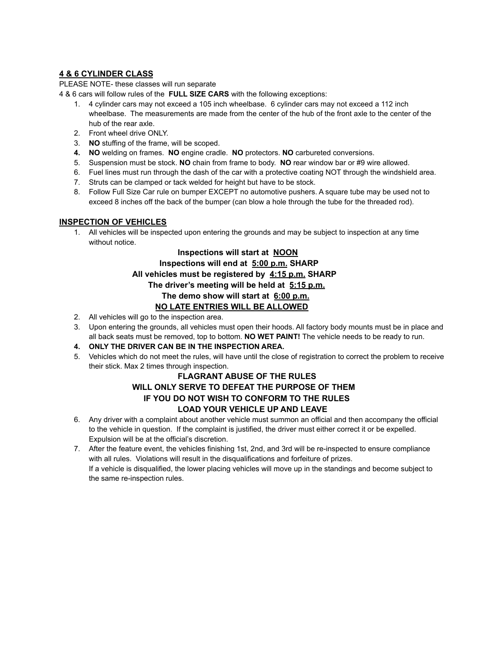### **4 & 6 CYLINDER CLASS**

PLEASE NOTE- these classes will run separate

4 & 6 cars will follow rules of the **FULL SIZE CARS** with the following exceptions:

- 1. 4 cylinder cars may not exceed a 105 inch wheelbase. 6 cylinder cars may not exceed a 112 inch wheelbase. The measurements are made from the center of the hub of the front axle to the center of the hub of the rear axle.
- 2. Front wheel drive ONLY.
- 3. **NO** stuffing of the frame, will be scoped.
- **4. NO** welding on frames. **NO** engine cradle. **NO** protectors. **NO** carbureted conversions.
- 5. Suspension must be stock. **NO** chain from frame to body. **NO** rear window bar or #9 wire allowed.
- 6. Fuel lines must run through the dash of the car with a protective coating NOT through the windshield area.
- 7. Struts can be clamped or tack welded for height but have to be stock.
- 8. Follow Full Size Car rule on bumper EXCEPT no automotive pushers. A square tube may be used not to exceed 8 inches off the back of the bumper (can blow a hole through the tube for the threaded rod).

### **INSPECTION OF VEHICLES**

1. All vehicles will be inspected upon entering the grounds and may be subject to inspection at any time without notice.

## **Inspections will start at NOON**

**Inspections will end at 5:00 p.m. SHARP**

### **All vehicles must be registered by 4:15 p.m. SHARP**

**The driver's meeting will be held at 5:15 p.m.**

**The demo show will start at 6:00 p.m.**

### **NO LATE ENTRIES WILL BE ALLOWED**

- 2. All vehicles will go to the inspection area.
- 3. Upon entering the grounds, all vehicles must open their hoods. All factory body mounts must be in place and all back seats must be removed, top to bottom. **NO WET PAINT!** The vehicle needs to be ready to run.
- **4. ONLY THE DRIVER CAN BE IN THE INSPECTION AREA.**
- 5. Vehicles which do not meet the rules, will have until the close of registration to correct the problem to receive their stick. Max 2 times through inspection.

### **FLAGRANT ABUSE OF THE RULES WILL ONLY SERVE TO DEFEAT THE PURPOSE OF THEM IF YOU DO NOT WISH TO CONFORM TO THE RULES LOAD YOUR VEHICLE UP AND LEAVE**

- 6. Any driver with a complaint about another vehicle must summon an official and then accompany the official to the vehicle in question. If the complaint is justified, the driver must either correct it or be expelled. Expulsion will be at the official's discretion.
- 7. After the feature event, the vehicles finishing 1st, 2nd, and 3rd will be re-inspected to ensure compliance with all rules. Violations will result in the disqualifications and forfeiture of prizes. If a vehicle is disqualified, the lower placing vehicles will move up in the standings and become subject to the same re-inspection rules.